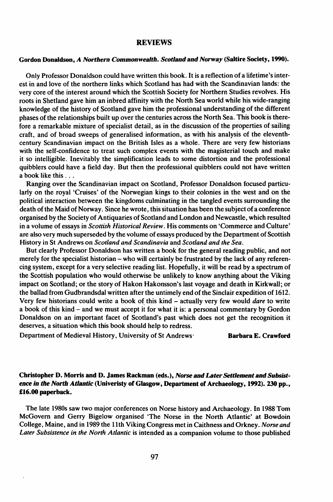## REVIEWS

## Gordon Donaldson, *A Northern Commonwealth. Scotland and Norway* (Saltire Society, 1990).

Only Professor Donaldson could have written this book. It is a reflection of a lifetime's interest in and love of the northern links which Scotland has had with the Scandinavian lands: the very core of the interest around which the Scottish Society for Northern Studies revolves. His roots in Shetland gave him an inbred affinity with the North Sea world while his wide-ranging knowledge of the history of Scotland gave him the professional understanding of the different phases of the relationships built up over the centuries across the North Sea. This book is therefore a remarkable mixture of specialist detail, as in the discussion of the properties of sailing craft, and of broad sweeps of generalised information, as with his analysis of the eleventhcentury Scandinavian impact on the British Isles as a whole. There are very few historians with the self-confidence to treat such complex events with the magisterial touch and make it so intelligible. Inevitably the simplification leads to some distortion and the professional quibblers could have a field day. But then the professional quibblers could not have written <sup>a</sup> book like this ...

Ranging over the Scandinavian impact on Scotland, Professor Donaldson focused particularly on the royal 'Cruises' of the Norwegian kings to their colonies in the west and on the political interaction between the kingdoms culminating in the tangled events surrounding the death of the Maid of Norway. Since he wrote, this situation has been the subject of a conference organised by the Society of Antiquaries of Scotland and London and Newcastle, which resulted in a volume of essays in *Scottish Historical Review.* His comments on 'Commerce and Culture' are also very much superseded by the volume of essays produced by the Department of Scottish History in St Andrews on *Scotland and Scandinavia* and *Scotland and the Sea.* 

But clearly Professor Donaldson has written a book for the general reading public, and not merely for the specialist historian – who will certainly be frustrated by the lack of any referencing system, except for a very selective reading list. Hopefully, it will be read by a spectrum of the Scottish population who would otherwise be unlikely to know anything about the Viking impact on Scotland; or the story of Hakon Hakonsson's last voyage and death in Kirkwall; or the ballad from Gudbrandsdal written after the untimely end of the Sinclair expedition of 1612. Very few historians could write a book of this kind - actually very few would *dare* to write a book of this kind - and we must accept it for what it is: a personal commentary by Gordon Donaldson on an important facet of Scotland's past which does not get the recognition it deserves, a situation which this book should help to redress.

Department of Medieval History, University of St Andrews· Barbara E. Crawford

## Christopher D. Morris and D. James Rackman (eds.), *Norse and LaterSettlement and Subsistence in the North Atlantic* (Univeristy of Glasgow, Department of Archaeology, 1992).230 pp., £16.00 paperback.

The late 1980s saw two major conferences on Norse history and Archaeology. In 1988 Tom McGovern and Gerry Bigelow organised' 'The Norse in the North Atlantic' at Bowdoin College, Maine, and in 1989 the 11th Viking Congress met in Caithness and Orkney. *Norse and Later Subsistence in the North Atlantic* is intended as a companion volume to those published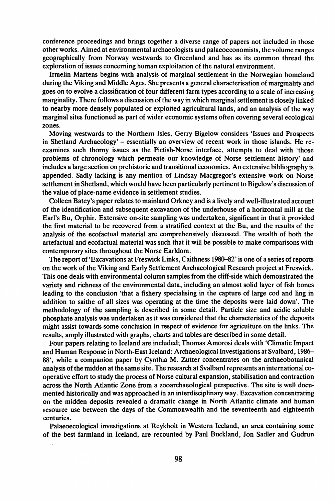conference proceedings and brings together a diverse range of papers not included in those other works. Aimed at environmental archaeologists and palaeoeconomists, the volume ranges geographically from Norway westwards to Greenland and has as its common thread the exploration of issues concerning human exploitation of the natural environment.

Irmelin Martens begins with analysis of marginal settlement in the Norwegian homeland during the Viking and Middle Ages. She presents a general characterisation of marginality and goes on to evolve a classification of four different farm types according to a scale of increasing marginality. There follows a discussion of the way in which marginal settlement is closely linked to nearby more densely populated or exploited agricultural lands, and an analysis of the way marginal sites functioned as part of wider economic systems often covering several ecological zones.

Moving westwards to the Northern Isles, Gerry Bigelow considers 'Issues and Prospects in Shetland Archaeology' – essentially an overview of recent work in those islands. He reexamines such thorny issues as the Pictish-Norse interface, attempts to deal with 'those problems of chronology which permeate our knowledge of Norse settlement history' and includes a large section on prehistoric and transitional economies. An extensive bibliography is appended. Sadly lacking is any mention of Lindsay Macgregor's extensive work on Norse settlement in Shetland, which would have been particularly pertinent to Bigelow's discussion of the value of place-name evidence in settlement studies.

Colleen Batey's paper relates to mainland Orkney and is a lively and well-illustrated account of the identification and subsequent excavation of the underhouse of a horizontal mill at the Earl's Bu, Orphir. Extensive on-site sampling was undertaken, significant in that it provided the first material to be recovered from a stratified context at the Bu, and the results of the analysis of the ecofactual material are comprehensively discussed. The wealth of both the artefactual and ecofactual material was such that it will be possible to make comparisons with contemporary sites throughout the Norse Earldom.

The report of 'Excavations at Freswick Links, Caithness 1980–82' is one of a series of reports on the work of the Viking and Early Settlement Archaeological Research project at Freswick. This one deals with environmental column samples from the cliff-side which demonstrated the variety and richness of the environmental data, including an almost solid layer of fish bones leading to the conciusion 'that a fishery specialising in the capture of large cod and ling in addition to saithe of all sizes was operating at the time the deposits were laid down'. The methodology of the sampling is described in some detail. Particle size and acidic soluble phosphate analysis was undertaken as it was considered that the characteristics of the deposits might assist towards some conclusion in respect of evidence for agriculture on the links. The results, amply illustrated with graphs, charts and tables are described in some detail.

Four papers relating to Iceland are included; Thomas Amorosi deals with 'Climatic Impact and Human Response in North-East Iceland: Archaeological Investigations at Svalbard, 1986- 88', while a companion paper by Cynthia M. Zutter concentrates on the archaeobotanical analysis ofthe midden at the same site. The research at Svalbard represents an international cooperative effort to study the process of Norse cultural expansion, stabilisation and contraction across the North Atlantic Zone from a zooarchaeological perspective. The site is well documented historically and was approached in an interdisciplinary way. Excavation concentrating on the midden deposits revealed a dramatic change in North Atlantic climate and human resource use between the days of the Commonwealth and the seventeenth and eighteenth centuries.

Palaeoecological investigations at Reykholt in Western Iceland, an area containing some of the best farmland in Iceland, are recounted by Paul Buckland, Jon Sadler and Gudrun